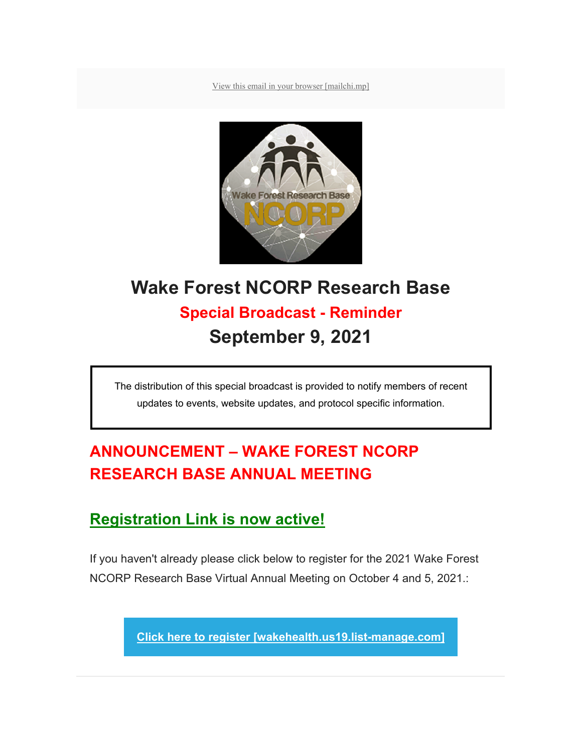View this email in your browser [mailchi.mp]



## **Wake Forest NCORP Research Base Special Broadcast - Reminder September 9, 2021**

The distribution of this special broadcast is provided to notify members of recent updates to events, website updates, and protocol specific information.

## **ANNOUNCEMENT – WAKE FOREST NCORP RESEARCH BASE ANNUAL MEETING**

## **Registration Link is now active!**

If you haven't already please click below to register for the 2021 Wake Forest NCORP Research Base Virtual Annual Meeting on October 4 and 5, 2021.:

**Click here to register [wakehealth.us19.list-manage.com]**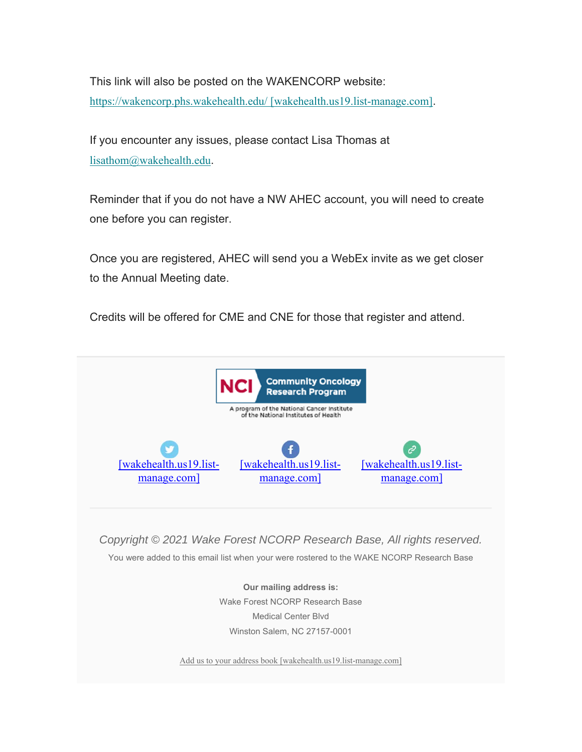This link will also be posted on the WAKENCORP website: https://wakencorp.phs.wakehealth.edu/ [wakehealth.us19.list-manage.com].

If you encounter any issues, please contact Lisa Thomas at lisathom@wakehealth.edu.

Reminder that if you do not have a NW AHEC account, you will need to create one before you can register.

Once you are registered, AHEC will send you a WebEx invite as we get closer to the Annual Meeting date.

Credits will be offered for CME and CNE for those that register and attend.



*Copyright © 2021 Wake Forest NCORP Research Base, All rights reserved.*

You were added to this email list when your were rostered to the WAKE NCORP Research Base

**Our mailing address is:** Wake Forest NCORP Research Base Medical Center Blvd Winston Salem, NC 27157-0001

Add us to your address book [wakehealth.us19.list-manage.com]